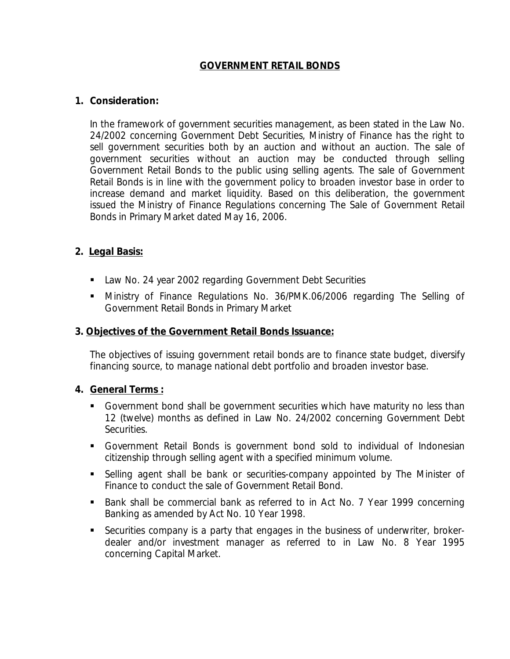## **GOVERNMENT RETAIL BONDS**

### **1. Consideration:**

In the framework of government securities management, as been stated in the Law No. 24/2002 concerning Government Debt Securities, Ministry of Finance has the right to sell government securities both by an auction and without an auction. The sale of government securities without an auction may be conducted through selling Government Retail Bonds to the public using selling agents. The sale of Government Retail Bonds is in line with the government policy to broaden investor base in order to increase demand and market liquidity. Based on this deliberation, the government issued the Ministry of Finance Regulations concerning The Sale of Government Retail Bonds in Primary Market dated May 16, 2006.

## **2. Legal Basis:**

- **Law No. 24 year 2002 regarding Government Debt Securities**
- Ministry of Finance Regulations No. 36/PMK.06/2006 regarding The Selling of Government Retail Bonds in Primary Market

### **3. Objectives of the Government Retail Bonds Issuance:**

The objectives of issuing government retail bonds are to finance state budget, diversify financing source, to manage national debt portfolio and broaden investor base.

### **4. General Terms :**

- Government bond shall be government securities which have maturity no less than 12 (twelve) months as defined in Law No. 24/2002 concerning Government Debt Securities.
- Government Retail Bonds is government bond sold to individual of Indonesian citizenship through selling agent with a specified minimum volume.
- Selling agent shall be bank or securities-company appointed by The Minister of Finance to conduct the sale of Government Retail Bond.
- Bank shall be commercial bank as referred to in Act No. 7 Year 1999 concerning Banking as amended by Act No. 10 Year 1998.
- Securities company is a party that engages in the business of underwriter, brokerdealer and/or investment manager as referred to in Law No. 8 Year 1995 concerning Capital Market.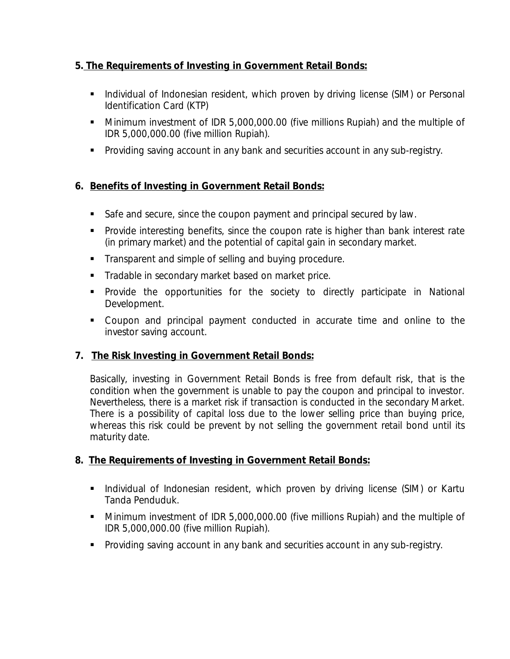## **5. The Requirements of Investing in Government Retail Bonds:**

- **Individual of Indonesian resident, which proven by driving license (SIM) or Personal** Identification Card (KTP)
- Minimum investment of IDR 5,000,000.00 (five millions Rupiah) and the multiple of IDR 5,000,000.00 (five million Rupiah).
- **Providing saving account in any bank and securities account in any sub-registry.**

# **6. Benefits of Investing in Government Retail Bonds:**

- Safe and secure, since the coupon payment and principal secured by law.
- **Provide interesting benefits, since the coupon rate is higher than bank interest rate** (in primary market) and the potential of capital gain in secondary market.
- Transparent and simple of selling and buying procedure.
- **Tradable in secondary market based on market price.**
- **Provide the opportunities for the society to directly participate in National** Development.
- Coupon and principal payment conducted in accurate time and online to the investor saving account.

# **7. The Risk Investing in Government Retail Bonds:**

Basically, investing in Government Retail Bonds is free from default risk, that is the condition when the government is unable to pay the coupon and principal to investor. Nevertheless, there is a market risk if transaction is conducted in the secondary Market. There is a possibility of capital loss due to the lower selling price than buying price, whereas this risk could be prevent by not selling the government retail bond until its maturity date.

# **8. The Requirements of Investing in Government Retail Bonds:**

- **Individual of Indonesian resident, which proven by driving license (SIM) or Kartu** Tanda Penduduk.
- Minimum investment of IDR 5,000,000.00 (five millions Rupiah) and the multiple of IDR 5,000,000.00 (five million Rupiah).
- Providing saving account in any bank and securities account in any sub-registry.